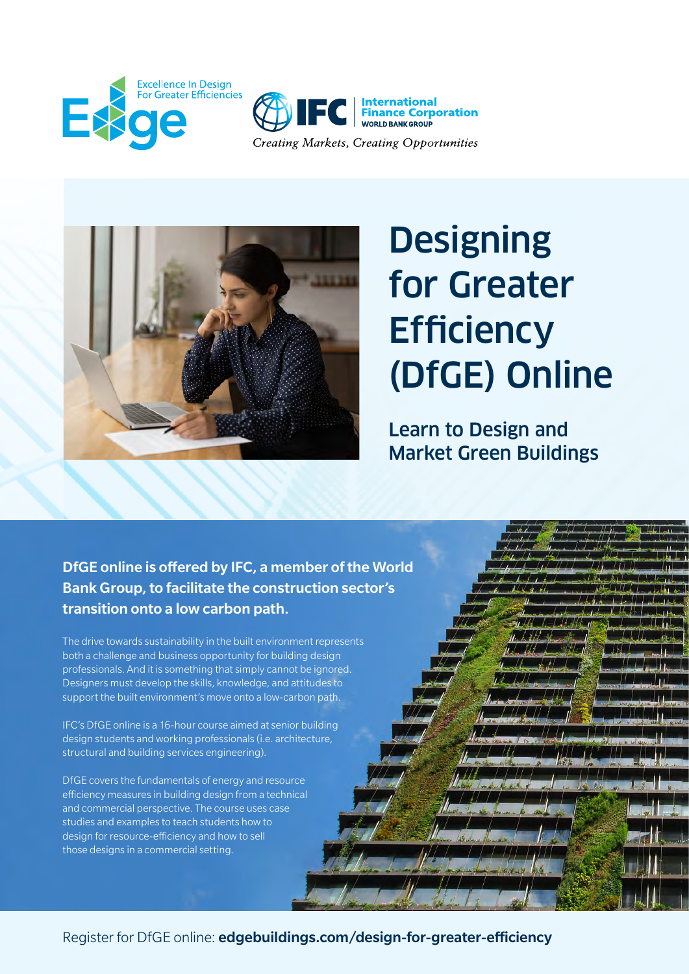





## **Designing** for Greater **Efficiency** (DfGE) Online

Learn to Design and Market Green Buildings

DfGE online is offered by IFC, a member of the World Bank Group, to facilitate the construction sector's transition onto a low carbon path.

The drive towards sustainability in the built environment represents both a challenge and business opportunity for building design professionals. And it is something that simply cannot be ignored. Designers must develop the skills, knowledge, and attitudes to support the built environment's move onto a low-carbon path.

IFC's DfGE online is a 16-hour course aimed at senior building design students and working professionals (i.e. architecture, structural and building services engineering).

DfGE covers the fundamentals of energy and resource efficiency measures in building design from a technical and commercial perspective. The course uses case studies and examples to teach students how to design for resource-efficiency and how to sell those designs in a commercial setting.

Register for DfGE online: [edgebuildings.com/design-for-greater-efficiency](https://edgebuildings.com/design-for-greater-efficiency)